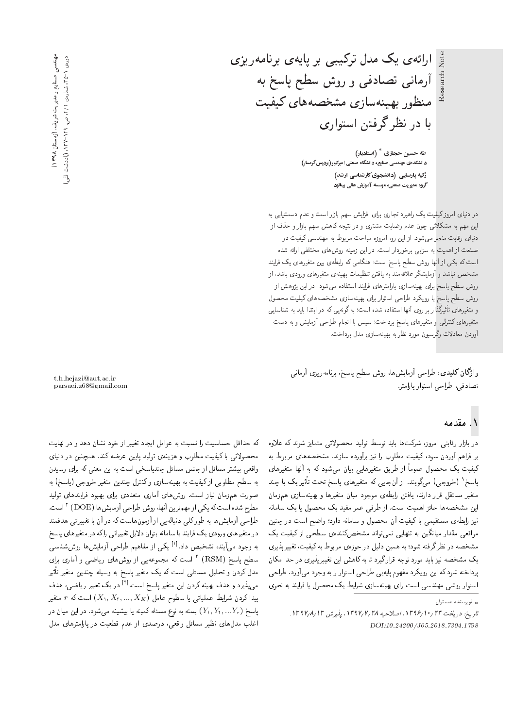Note ارائهى يك مدل تركيبي بر پايهى برنامهريزى

آرمانی تصادفی و روش سطح پاسخ به منظور بهينهسازي مشخصههاي كيفيت با در نظر گرفتن استواری

> طه حسین حجازی  $^*$  (استادیار) دانشکدهی مهندسی صنایع، دانشگاه صنعتی امیرکبیر (پردیس گرمسار) زکیه پارسایی (دانشجوی کارشناسی ارشد) گروه هدیریت صنعتی، موسسه آموزش عالی بینالود

در دنیای امروز کیفیت یک راهبرد تجاری برای افزایش سهم بازار است و عدم دست یابی به این مهم به مشکلاتی چون عدم رضایت مشتری و در نتیجه کاهش سهم بازار و حذف از دنیای رقابت منجر میشود. از این رو<sub>ا</sub> امروزه مباحث مربوط به مهندسی کیفیت در<br>صنعت از اهمیت به سزایی برخوردار است. در این زمینه روشهای مختلفی ارائه شده صنعت از اهمیت به سزایی برخوردار است. در این زمینه روس های محتلفی ارائه سده<br>است که کردار آنهایت است است است گاه کردار است که Ov}=Qi l} |=yQ}eDtu}@ |x]@=Q xm |t=ovy &CU= MU=B K]U VwQ =yv; R= |m} xm CU= مشخص نباشد و آزمایشگر علاقهمند به یافتن تنظیمات بهینهی متغیرهای ورودی باشد، از روش سطح پاسخ برای بهینهسازی پارامترهای فرایند استفاده می شود. در این پژوهش از روش سطح ياسخ با رويكرد طراحي استوار براي بهينه سازي مشخصههاي كيفيت محصول |}=U=vW x@ O}=@ =OD@= QO xm |}xvwo x@ &CU= xOW xO=iDU= =yv; |wQ Q@ Q=PoQ}F -=D |=yQ}eDt w متغیرهای کنترلی و متغیرهای پاسخ پرداخت؛ سپس با انجام طراحی آزمایش و به دست آوردن معادلات رگرسبیون مورد نظر به بهینهسازی مدل پرداخت.

وا**ژگان کلیدی**: طراحی آزمایشرها، روش سطح پاسخ، برنامهریزی آرمانی تصادفي، طراحي استوار بارامتر.

در بازار رقابتی امروز، سرنت ها باید نوسط نویید محصولاتی متمایز سوند نه علاوه<br>- استقال است بر فراهم اوردن سود، نیفیت مطلوب را نیز براورده سازند. مسحصه های مربوط به<br>م كيفيت يک محصول عموماً از طريق متغيرهايي بيان مى شود که به آنها متغيرهاى پاسخ' (خروجی) مرکویند. از آن جایی که متغیرهای پاسخ تحت تاثیر یک یا چند<br>منسوخ استان تبار این مانند با با متغير مستقل قرار دارند، يافتن رابطهى موجود ميان متغيرها و بهينهسازى همزمان این مشخصهها حائز اهمیت است. از طرفی عمر مفید یک محصول یا یک سامانه نیز رابطهی مستقیمی با کیفیت آن محصول و سامانه دارد؛ واضح است در چنین مواقعی مقدار میانگین به تنهایی نمی تواند مشخصکننده، سطحی از کیفیت یک مشخصه در نظرگرفته شود؛ به همین دلیل در حوزهی مربوط به کیفیت، تغییرپذیری<br>یک مشخصه نیز باید مورد توجه قرارگیرد تا به کاهش این تغییرپذیری در حد امکان یف مسحصه نیز باید مورد توجه قرار نیرد تا به ناهس این تغییر پدیری در حد امدن<br>- این مصد کرایست کرد کرد و با اینکه این اینکه اینکه اینکه اینکه اینکه اینکه اینکه اینکه اینکه اینکه اینکه اینک پرداحيه سود ته اين رو بدرد مفهوم پايهين طراحي استوار را به وجود مي اورد. طراحي<br>استاد استاد کلیس و مورد مورد استاد کلیس مورد استاد کرد. |استوار روشی مهندسی است برای بهینهسازی شرایط یک محصول یا فرایند به نحوی

t.h.hejazi@aut.ac.ir parsaei.z68@gmail.com

که حداقل حساسیت را نسبت به عوامل ایجاد تغییر از خود نشان دهد و در نهایت محصولاتی با کیفیت مطلوب و هزینهی تولید پایین عرضه کند. همچنین در دنیای واقعی بیشتر مسائل از جنس مسائل چندپاسخی است به این معنی که برای رسیدن به سطح مطلوبی ازکیفیت به بهینهسازی وکنترل چندین متغیر خروجی (پاسخ) به صورت هم;رمان نیاز است. روشهای آماری متعددی برای بهبود فرایندهای تولید مطرح شده است که یکی از مهم ترین آنها، روش طراحی آزمایش ها (DOE) " است.<br>بابل سوآب این سالم میکند و از سوال آن سالم توسط آنها و توسط توسط طراحی آزمایش ها به طورکلبی دنباله یی از آزمون هاست که در آن با تغییراتی هدفمند در متغیرهای ورودی یک فرایند یا سامانه بتوان دلایل تغییراتی راکه در متغیرهای پاسخ به وجود میمآیند، تشخیص داد.<sup>ادا</sup> یکی از مفاهیم طراحی آزمایش ها روششناسی<br>بایلمنین (DSM) تا است ک سطح باسخ (RSM) <sup>۲</sup> است که مجموعهیی از روشهای ریاضی و آماری برای<br>مارکس در اطلاع اسلام است که می موند است. Q}F -=D Q}eDt u}OvJ xr}Uw x@ MU=B Q}eDt l} xm CU= |r=Ut p}rLD w uOQm pOt می پذیرد و هدف بهینه کردن این متغیر پاسخ است.<sup>[۲]</sup> در یک تعبیر ریاضی، هدف<br>سایت مصادات ایران سایت ایران ایران به کمتر کار است که باید پیدا کردن شرایط عملیاتی یا سطوح عامل  $(X_1, X_1, ..., X_K)$  است که  $r$  متغیر پاسخ  $(Y_{1}, Y_{1},...Y_{r})$  بسته به نوع مسئله کمینه یا بیشینه می $\mathfrak{a}_{\bullet}$ در این میان در اغلب مدل های نظیر مسائل واقعی، درصدی از عدم قطعیت در پارامترهای مدل

— (روستان ۱۳۹۸) د هندسی صنایع و مدیریت شریف، (روستان ۱۳۹۸)<br>دوروی ۱-2۳ شماروی ۱۲/۲ می. ۱۳۹-۱۳/۳ (یادداشت نئی عهدندسی<br>و دورەي ١ -٣٥٦، شمارەي ١٢٢ ص. ١٢٩-١٣٧. (يادداشت فشي)

 $\int_{\mathbb{R}}$ نو پسنده مسئول  $\downarrow$ 

تاريخ: دريافت ٢٣ /١٣٩۶ /١٣٩٧، اصلاحيه ١٣٩٧/٢/٢٨، يذيرش ١٣٩٧/٨/١٣٩. DOI:10.24200/J65.2018.7304.1798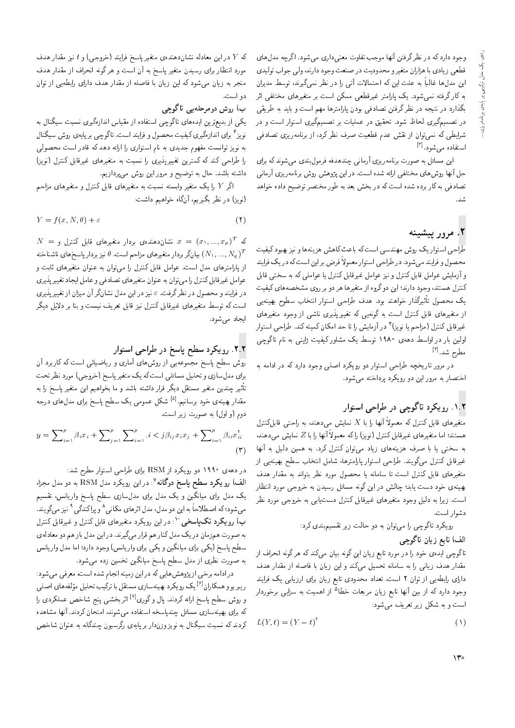وجود دارد که در نظر گرفتن أنها موجب تفاوت معنی داری میشود. اگرچه مدل های قطعی زیادی با هزاران متغیر و محدودیت در صنعت وجود دارند، ولی جواب تولیدی این مدلها غالباً به علت این که احتمالات آتی را در نظر نمیگیرند، توسط مدیران به کارگرفته نمیشود. یک پارامتر غیرقطعی ممکن است بر متغیرهای مختلفی اثر بگذارد در نتیجه در نظرگرفتن تصادفی بودن پارلمترها مهم است و باید به طریقی در تصمیمگیری لحاظ شود. تحقیق در عملیات بر تصمیمگیری استوار است و در شرایطی که نسی توان از نقش عدم قطعیت صرف نظر کرد، از برنامهریزی تصادفی استفاده مے شود. <sup>[۲]</sup>

این مسائل به صورت برنامهریزی آرمانی چندهدفه فرمولبندی میشوند که برای حل أنها روش۵های مختلفی ارائه شده است. در این پژوهش روش برنامهریزی آرمانی تصادفی به کار برده شده است که در بخش بعد به طور مختصر توضیح داده خواهد

#### ٢. مرور يتشينه

طراحی استوار یک روش مهندسی است که باعث کاهش هزینهها و نیز بهبود کیفیت محصول و فرایند میشود. در طراحی استوار معمولاً فرض بر این است که در یک فرایند و آزمایش عوامل قابل کنترل و نیز عوامل غیرقابل کنترل یا عواملی که به سختی قابل کنترل هستند، وجود دارند؛ این دوگروه از متغیرها هر دو بر روی مشخصههای کیفیت يک محصول تأثيرگذار خواهند بود. هدف طراحي استوار انتخاب سطوح بهينهيي از متغیرهای قابل کنترل است به گونهیی که تغییرپذیری ناشی از وجود متغیرهای غیرقابل کنترل (مزاحم یا نویز) ٔ در آزمایش را تا حد امکان کمینه کند. طراحی استوار اولین بار در اواسط دههی ۱۹۸۰ توسط یک مشاور کیفیت ژاپنی به نام تاگوچی مطرح شد.<sup>[۴]</sup>

در مرور تاریخچه طراحی استوار دو رویکرد اصلی وجود دارد که در ادامه به اختصار به مرور این دو رویکرد پرداخته می شود.

#### ۰۱.۲ رویکرد تاگوچی در طراحی استوار

متغیرهای قابل کنترل که معمولاً آنها را با X نمایش میدهند، به راحتبی قابلکنترل هستند؛ اما متغیرهای غیرقابل کنترل (نویز) راکه معمولاً آنها را با Z نمایش میدهند، به سختی یا با صرف هزینههای زیاد میتوان کنترل کرد. به همین دلیل به آنها غیرقابل کنترل میگویند. طراحی استوار پارامترها، شامل انتخاب سطح بهینهیی از متغیرهای قابل کنترل است تا سامانه یا محصول مورد نظر بتواند به مقدار هدف بهینهی خود دست یابد؛ چالش در این گونه مسائل رسیدن به خروجی مورد انتظار است. زیرا به دلیل وجود متغیرهای غیرقابل کنترل دست،یابی به خروجی مورد نظر دشوار است.

رویکرد تاگوچی را میتوان به دو حالت زیر تقسیمبندی کرد:

#### الف) تابع زيان تاگوچي

تاگوچی ایدهی خود را در مورد تابع زیان این گونه بیان می،کند که هرگونه انحراف از مقدار هدف زیانی را به سامانه تحمیل میکند و این زیان با فاصله از مقدار هدف دارای رابطه یی از توان ۲ است. تعداد محدودی تابع زیان برای ارزیابی یک فرایند وجود دارد که از بین آنها تابع زیان مربعات خطا<sup>۵</sup> از اهمیت به سزایی برخوردار است و به شکل زیر تعریف می شود:

$$
L(Y, t) = (Y - t)^{\dagger} \tag{1}
$$

که  $Y$  در این معادله نشاندهندهی متغیر پاسخ فرایند (خروجی) و  $t$  نیز مقدار هدف مورد انتظار برای رسیدن متغیر پاسخ به آن است و هرگونه انحراف از مقدار هدف منجر به زیان میشود که این زیان با فاصله از مقدار هدف دارای رابطه یی از توان دو است.

#### ب) روش دومرحلهیی تاگوچی

یکی از بدیعترین ایدههای تاگوچی استفاده از مقیاس اندازهگیری نسبت سیگنال به نویز<sup>ع</sup> برای اندازهگیری کیفیت محصول و فرایند است. تاگوچی بر پایهی روش سیگنال به نویز توانست مفهوم جدیدی به نام استواری را ارائه دهد که قادر است محصولی را طراحی کند که کمترین تغییرپذیری را نسبت به متغیرهای غیرقابل کنترل (نویز) داشته باشد. حال به توضیح و مرور این روش می پردازیم.

اگر Y را یک متغیر وابسته نسبت به متغیرهای قابل کنترل و متغیرهای مزاحم (نویز) در نظر بگیریم، آنگاه خواهیم داشت:

$$
Y = f(x, N, \theta) + \varepsilon \tag{7}
$$

 $N~=~(x_1,...,x_p)^T$  که  $T$  ( $x=(x_1,...,x_p)^T$  نشان $x~=~(x_1,...,x_p)^T$ بیانگر بردار متغیرهای مزاحم است.  $\theta$  نیز بردار پاسخهای ناشناخته  $(N_1,...,N_q)^T$ از پارامترهای مدل است. عوامل قابل کنترل را می توان به عنوان متغیرهای ثابت و عوامل غیرقابل کنترل را می توان به عنوان متغیرهای تصادفی و عامل ایجاد تغییریذیری در فرایند و محصول در نظرگرفت.  $\varepsilon$  نیز در این مدل نشانگر آن میزان از تغییر پذیری است که توسط متغیرهای غیرقابل کنترل نیز قابل تعریف نیست و بنا بر دلایل دیگر ایجاد می شود.

#### ۲.۲. رویکرد سطح پاسخ در طراحی استوار

روش سطح پاسخ مجموعهیی از روشهای أماری و ریاضیاتی است که کاربرد آن برای مدلسازی و تحلیل مسائلی است که یک متغیر پاسخ (خروجی) مورد نظر تحت تأثیر چندین متغیر مستقل دیگر قرار داشته باشد و ما بخواهیم این متغیر پاسخ را به مقدار بهینهی خود برسانیم.<sup>[۵]</sup> شکل عمومی یک سطح پاسخ برای مدل های درجه دوم (و اول) به صورت زیر است.

$$
y = \sum_{i=1}^{p} \beta_i x_i + \sum_{j=1}^{p} \sum_{i=1}^{p} i \langle j \beta_{ij} x_i x_j + \sum_{i=1}^{p} \beta_{ii} x_{ii}^{\dagger} \rangle
$$

$$
(\mathbf{r})
$$

در دههی ۱۹۹۰ دو رویکرد از RSM برای طراحی استوار مطرح شد: الف) رویکرد سطح پاسخ دوگانه <sup>۷</sup>: در این رویکرد مدل RSM به دو مدل مجزا، یک مدل برای میانگین و یک مدل برای مدلسازی سطح پاسخ واریانس، تقسیم میشود؛که اصطلاحاً به این دو مدل، مدل اثرهای مکانی^ و پراکندگی^ نیز میگویند. ب) رویکرد تکپاسخی ۱٬۰ در این رویکرد متغیرهای قابل کنترل و غیرقابل کنترل به صورت همزمان در یک مدل کنار هم قرار می گیرند. در این مدل باز هم دو معادله ی سطح پاسخ (یکی برای میانگین و یکی برای واریانس) وجود دارد؛ اما مدل واریانس به صورت نظری از مدل سطح پاسخ میانگین تخمین زده میشود.

در ادامه برخی از پژوهش هایی که در این زمینه انجام شده است، معرفی می شود: ر يبريو و همكاران<sup>[۶]</sup> يك رو يكرد بهينهسازي مستقل با تركيب تحليل مؤلفه هاي اصلي و روش سطح پاسخ ارائه کردند. پال وگوری<sup>[۷]</sup> اثربخشی پنج شاخص عملکردی را که برای بهینهسازی مسائل چندپاسخه استفاده میشوند، امتحان کردند. آنها مشاهده کردند که نسبت سیگنال به نویز وزندار بر پایهی رگرسیون چندگانه به عنوان شاخص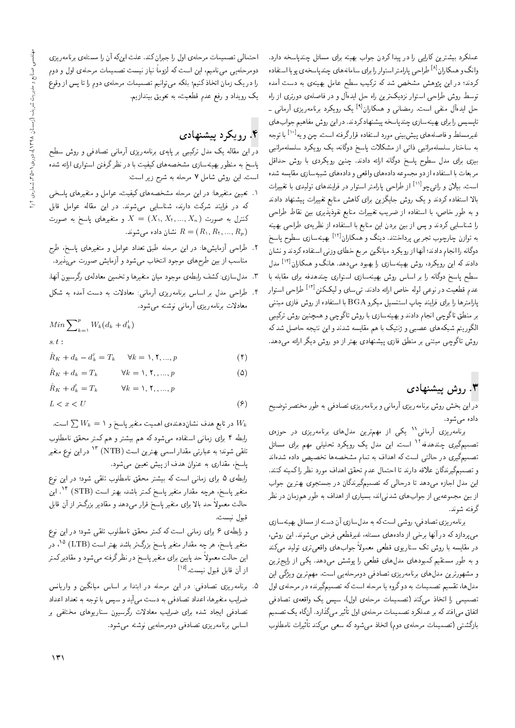عملکرد بیشترین کارایی را در پیدا کردن جواب بهینه برای مسائل چندپاسخه دارد. وانگ و همکاران<sup>[۸]</sup> طراحی پارامتر استوار را برای سامانههای چندپاسخهی پویا استفاده کردند؛ در این پژوهش مشخص شد که ترکیب سطح عامل بهینهی به دست آمده توسط روش طراحی استوار نزدیکترین راه حل ایدهآل و در فاصلهی دورتری از راه حل ایدهآل منفی است. رمضانی و همکاران<sup>!؟]</sup> یک رویکرد برنامهریزی آرمانی ـ تاپسیس را برای بهینهسازی چندپاسخه پیشنهادکردند. در این روش مفاهیم جواب های غیرمسلط و فاصلههای پیش بینی مورد استفاده قرارگرفته است. چن و یه<sup>[۱۰]</sup> با توجه به ساختار سلسلهمراتبی ذاتی از مشکلات پاسخ دوگانه، یک رویکرد سلسلهمراتبی بیزی برای مدل سطوح پاسخ دوگانه ارائه دادند. چنین رویکردی با روش حداقل مربعات با استفاده از دو مجموعه دادههاي واقعي و دادههاي شبيهسازي مقايسه شده است. بیلان و رائ<sub>ی</sub>چو<sup>[۱۱]</sup> از طراحی پارامتر استوار در فرایندهای تولیدی با تغییرات بالا استفاده کردند و یک روش جایگزین برای کاهش منابع تغییرات پیشنهاد دادند و به طور خاص، با استفاده از ضریب تغییرات منابع نفوذپذیری بین نقاط طراحی را شناسایی کردند و پس از بین بردن این منابع با استفاده از نظریهی طراحی بهینه به توازن چارچوب تجرب<sub>ی</sub> پرداختند. دینگ و همکاران<sup>[۱۲]</sup> بهینهسازی سطوح پاسخ دوگانه را انجام دادند؛ آنها از رویکرد میانگین مربع خطای وزنی استفاده کردند و نشان دادند که این رویکرد. روش بهینهسازی را بهبود میدهد. هانگ و همکاران<sup>[۱۳]</sup> مدل سطح پاسخ دوگانه را بر اساس روش بهینهسازی استواری چندهدفه برای مقابله با عدم قطعیت در نوعبی لوله خاص ارائه دادند. تیسای و لیککنن<sup>[۱۲]</sup> طراحی استوار پارامترها را برای فرایند چاپ استنسیل میکرو BGA با استفاده از روش فازی مبتنبی بر منطق تاگوچی انجام دادند و بهینهسازی با روش تاگوچی و همچنین روش ترکیبی الگوریتم شبکههای عصبی و ژنتیک با هم مقایسه شدند و این نتیجه حاصل شدکه روش تاگوچی مبتنی بر منطق فازی پیشنهادی بهتر از دو روش دیگر ارائه می۱دهد.

#### ۳. روش پیشنهادی

دراین بخش روش برنامهریزی آرمانی و برنامهریزی تصادفی به طور مختصر توضیح داده می شود.

برنامەریزی آرمانى'' یکی از مهمترین مدل،های برنامەریزی در حوزەی تصمیمگیری چندهدفه<sup>۱۲</sup> است. این مدل یک رویکرد تحلیلی مهم برای مسائل تصمیمگیری در حالتی است که اهداف به تمام مشخصهها تخصیص داده شدهاند و تصمیمگیرندگان علاقه دارند تا احتمال عدم تحقق اهداف مورد نظر را کمینه کنند. این مدل اجازه میدهد تا درحالی که تصمیمگیرندگان در جستجوی بهترین جواب از بین مجموعهیی از جوابهای شدنی اند، بسیاری از اهداف به طور همزمان در نظر گرفته شوند.

برنامهريزي تصادفي، روشي است كه به مدلسازي أن دسته از مسائل بهينهسازي می بردازد که در آنها برخی از دادههای مسئله، غیرقطعی فرض می شوند. این روش، در مقایسه با روش تک سناریوی قطعی معمولاً جوابهای واقعیتری تولید میکند و به طور مستقیم کمبودهای مدل های قطعی را پوشش میدهد. یکی از رایج ترین و مشهورترین مدل های برنامه ریزی تصادفی دومرحلهیی است. مهم ترین ویژگی این مدلها، تقسیم تصمیمات به دوگروه یا مرحله است که تصمیمگیرنده در مرحلهی اول تصمیمی را اتخاذ میکند (تصمیمات مرحلهی اول). سپس یک واقعهی تصادفی اتفاق می|فتد که بر عملکرد تصمیمات مرحلهی اول تأثیر میگذارد. آنگاه یک تصمیم بازگشتی (تصمیمات مرحلهی دوم) اتخاذ میشود که سعی میکند تأثیرات نامطلوب

احتمالی تصمیمات مرحلهی اول را جبران کند. علت اینکه آن را مسئلهی برنامهریزی دومرحلهیی می،نامیم، این است که لزوماً نیاز نیست تصمیمات مرحلهی اول و دوم را در یک زمان اتخاذ کنیم؛ بلکه میتوانیم تصمیمات مرحلهی دوم را تا پس از وقوع یک رویداد و رفع عدم قطعیت، به تعویق بیندازیم.

# ۴. رویکرد پیشنهادی

در این مقاله یک مدل ترکیبی بر پایهی برنامهریزی آرمانی تصادفی و روش سطح پاسخ به منظور بهینهسازی مشخصههای کیفیت با در نظرگرفتن استواری ارائه شده است. این روش شامل ۷ مرحله به شرح زیر است:

- ۱. تعیین متغیرها: در این مرحله مشخصههای کیفیت، عوامل و متغیرهای پاسخی که در فرایند شرکت دارند، شناسایی می شوند. در این مقاله عوامل قابل کنترل به صورت  $X$  ,  $X_1, ..., X_n$  و متغیرهای پاسخ به صورت نشان داده می شوند.  $R = (R_1, R_1, ..., R_p)$
- ۲. طراحی آزمایش،ا: در این مرحله طبق تعداد عوامل و متغیرهای پاسخ، طرح مناسب از بین طرحهای موجود انتخاب میشود و آزمایش صورت می پذیرد.
- ۳. مدلسازي: كشف رابطهي موجود ميان متغيرها و تخمين معادلهي رگرسيون آنها.
- ۴. طراحی مدل بر اساس برنامهریزی آرمانی: معادلات به دست آمده به شکل معادلات برنامەريزى أرمانى نوشته مى شود.

$$
Min \sum_{k=1}^{p} W_k(d_k + d'_k)
$$
  
s. t :  

$$
\hat{R}_K + d_k - d'_k = T_k \quad \forall k = \lambda, \mathbf{Y}, ..., p
$$
 (†)

$$
\hat{R}_K + d_k = T_k \qquad \forall k = \lambda, \mathbf{Y}, \dots, p \tag{2}
$$

$$
\hat{R}_K + d'_k = T_k \qquad \forall k = \lambda, \mathbf{Y}, \dots, p
$$

$$
L < x < U \tag{8}
$$

در تابع هدف نشاندهنده،ی اهمیت متغیر پاسخ و ۱ $W_k = \sum W_k$ است. رابطه ۴ برای زمانی استفاده میشود که هم بیشتر و هم کمتر محقق نامطلوب تلقی شوند؛ به عبارتی مقدار اسمی بهترین است (NTB) <sup>۱۳</sup> در این نوع متغیر پاسخ، مقداری به عنوان هدف از پیش تعیین مهشود.

رابطهی ۵ برای زمانی است که بیشتر محقق نامطلوب تلقی شود؛ در این نوع متغير پاسخ، هرچه مقدار متغير پاسخ كمتر باشد، بهتر است (STB) <sup>١۴</sup>. اين حالت معمولاً حد بالا برای متغیر پاسخ قرار می۵هد و مقادیر بزرگتر از آن قابل قبول نيست.

و رابطهی ۶ برای زمانی است که کمتر محقق نامطلوب تلقی شود؛ در این نوع متغیر پاسخ، هر چه مقدار متغیر پاسخ بزرگ¤ر باشد بهتر است (LTB) <sup>۱۵</sup>، در این حالت معمولاً حد پایین برای متغیر پاسخ در نظرگرفته میشود و مقادیرکمتر از آن قابل قبول نیست.<sup>[۱۵]</sup>

۵. برنامهریزی تصادفی: در این مرحله در ابتدا بر اساس میانگین و واریانس ضرایب متغیرها، اعداد تصادفی به دست میآید و سپس با توجه به تعداد اعداد تصادفی ایجاد شده برای ضرایب معادلات رگرسیون سناریوهای مختلفی بر اساس برنامەريزى تصادفىي دومرحلەيى نوشته مى شود.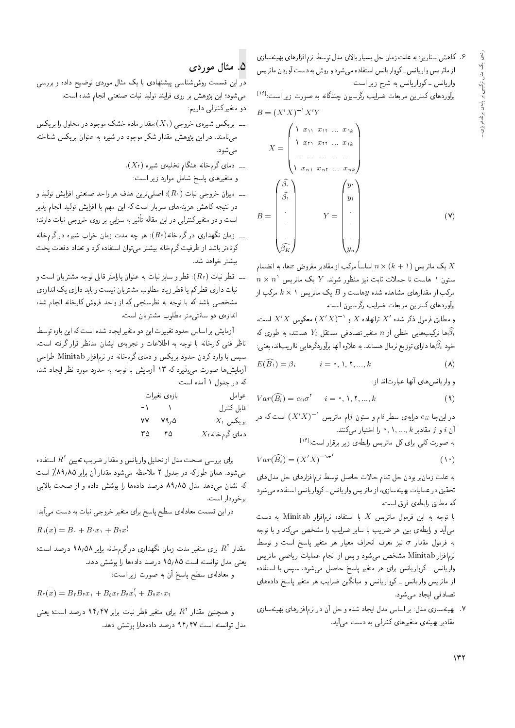۶. كاهش سناريو: به علت زمان حل بسيار بالاي مدل توسط نرم|فزارهاي بهينهسازي از ماتریس واریانس ـ کوواریانس استفاده میشود و روش به دست آوردن ماتریس واریانس ـ کوواریانس به شرح زیر است:

برآوردهای کمترین مربعات ضرایب رگرسیون چندگانه به صورت زیر است:<sup>[۱۶</sup>]<br>.

$$
B = (X'X)^{-1}X'Y
$$
  
\n
$$
X = \begin{pmatrix} 1 & x_{11} & x_{11} & \dots & x_{1k} \\ 1 & x_{11} & x_{11} & \dots & x_{1k} \\ \dots & \dots & \dots & \dots & \dots \\ 1 & x_{n1} & x_{n1} & \dots & x_{nk} \end{pmatrix}
$$
  
\n
$$
B = \begin{pmatrix} \hat{\beta}, \\ \hat{\beta}, \\ \vdots \\ \hat{\beta}, \\ \vdots \\ \hat{\beta K} \end{pmatrix} Y = \begin{pmatrix} y_1 \\ y_1 \\ y_1 \\ \vdots \\ y_n \end{pmatrix}
$$
 (9)

یک ماتریس ( $k+1$  اساسا مرکب از مقادیر مفروض هها، به انضمام $X$  $n\times n$ ' ستون ۱ هاست تا جملات ثابت نیز منظور شوند.  $Y$  یک ماتریس $\sim$ مرکب از مقدارهای مشاهده شده  $y$ هاست و  $B$  یک ماتریس ۱ ×  $k$  مرکب از $\bar{l}$ برأوردهاى كمترين مربعات ضرايب رگرسيون است.

و مطابق فرمول ذکر شده 'X ترانهاده X و ' $(X'X)^{-1}$ ) معکوس  $X'$  است.<br>چ ها ترکیبهایی خطی از n متغیر تصادفی مستقل  $Y_i$  هستند، به طوری که $\widehat{\beta_t}$ خود  $\widehat{\beta}_t$ ها دارای توزیع نرمال هستند. به علاوه آنها برآوردگرهایی نااریباند، یعنی:

$$
E(\widehat{B_1}) = \beta_i \qquad i = \circ, \mathcal{N}, \mathcal{N}, \dots, k \tag{A}
$$

و واریانس های آنها عبارتاند از:

$$
Var(\widehat{B_i}) = c_{ii} \sigma^{\dagger} \qquad i = \circ, \mathcal{N}, \mathcal{K}, ..., k
$$
 (4)

در این جا ،ن $c_i$  درایه $c$  سطر نمام و ستون نرام ماتریس ` $(X'X)^{-1}$  است که در $\tilde{X}$ "آن  $i$  و  $j$  مقادیر  $k$  ,... ,  $k$  , و أن مقادیر  $i$  i

به صورت کل<sub>می</sub> برای کل ماتریس رابطهی زیر برقرار است:<sup>[۱۶</sup>]<br>-

$$
Var(\widehat{B_t}) = (X'X)^{-1\sigma^{\mathsf{T}}} \tag{1\text{-}1}
$$

به علت زمان بر بودن حل نمام حالات حاصل نوسط برم افزارهای حل مدلهای<br>-نحقیق در عملیات بهینهسازی، از مانریس واریانس ـ دوواریانس استفاده می سود<br>حسین استان استان میلیو كه مطابق رابطهى فوق است.

با توجه به این فرمول ماتریس X با استفاده نرمافزار Minitab به دست میآید و رابطهی بین هر ضریب با سایر ضرایب را مشخص میکند و با توجه به فرمول مقدار  $\sigma$  نيز معرف انحراف معيار هر متغير پاسخ است و توسط نرمافزار Minitab مشخص میشود و پس از انجام عملیات ریاضی ماتریس واریانس - کوواریانس برای هر متغیر پاسخ حاصل می شود. سپس با استفاده از ماتریس واریانس ـ کوواریانس و میانگین ضرایب هر متغیر پاسخ دادههای تصادفي ايجاد مي شود.

|R=Uxv}y@ |=yQ=Ri=sQv QO u; pL w xOW O=H}= pOt T=U= Q@ %pOt |R=Uxv}y@ "7 مقادیر بهینهی متغیرهای کنترلی به دست می آید.

### ۵. مثال موردی

در این قسمت روششناسی پیشنهادی با یک مثال موردی توضیح داده و بررسی میشود؛ این پژوهش بر روی فرایند تولید نبات صنعتی انجام شده است. دو متغیر کنترلی داریم:

- ــ بریکس شیرهی خروجی  $(X_{1})$ :مقدار ماده خشک موجود در محلول را بریکس مینامند. در این پژوهش مقدار شکر موجود در شیره به عنوان بریکس شناخته مې شود.
	- ... دمای گرمخانه هنگام تخلیه $(X_{1})$  شیره  $(X_{1})$ 
		- و متغیرهای پاسخ شامل موارد زیر است:
- ـــ ميزان خروجي نبات  $(R_{1})$ : اصلي ترين هدف هر واحد صنعتي افزايش توليد و در نتیجه کاهش هزینههای سربار است که این مهم با افزایش تولید انجام پذیر است و دو متغیر دنترلی در این مقاله تاتیر به سزایی بر روی خروجی نبات دارند؛<br>میستر
- ــ زمان نگهداری در گرمخانه $(R_{\tt V})$ : هر چه مدت زمان خواب شیره در گرمخانه کوتاهتر باشد از ظرفیت گرم خانه بیشتر می توان استفاده کرد و تعداد دفعات پخت بیشتر خواهد شد.
- ے۔ قطر نبات  $(R_{\mathfrak{r}})$ : قطر و سایز نبات به عنوان پارلمتر قابل توجه مشتریان است و نبات دارای قطرکم یا قطر زیاد مطلوب مشتریان نیست و باید دارای یک اندازهی مشخصی باشد که با توجه به نظرسنجی که از واحد فروش کارخانه انجام شد، اندازهى دو سانتى متر مطلوب مشتريان است.

آزمایش بر اساس حدود تغییرات این دو متغیر ایجاد شده است که این بازه توسط ناظر فني كارخانه با توجه به اطلاعات و تجربهى ايشان مدنظر قرار گرفته است. سپس با وارد کردن حدود بریکس و دمای گرمخانه در نرمافزار Minitab طراحی أرمايش ها صورت مى پذيرد كه ۱۳ آزمايش با توجه به حدود مورد نظر ايجاد شد، که در جدول ۱ آمده است:

|           | بازەي تغيرات  | عوامل            |
|-----------|---------------|------------------|
| $-\Delta$ | $\mathcal{L}$ | قابل كنترل       |
| ۷۷        | ۷۹٫۵          | $X_1$ بريكس      |
| ۳۵        | ۴۵            | $X$ دمای گرمخانه |

برای بررسی صحت مدل از تحلیل واریانس و مقدار ضریب تعیین 'R استفاده<br>اسما را مرکز میسیم بر میل از مطرح باشد و تصارتی استفاده میشود. همان طورکه در جدول ۲ ملاحظه میشود مقدار آن برابر ۸۹٫۸۵٪ است که نشان میدهد مدل ۸۹٫۸۵ درصد دادهها را پوشش داده و از صحت بالایی برخوردار است.

در این قسمت معادلهی سطح پاسخ برای متغیر خروجی نبات به دست میآید:

$$
R_{\lambda}(x) = B_{\lambda} + B_{\lambda}x_{\lambda} + B_{\lambda}x_{\lambda}^{\dagger}
$$

مقدار 'A برای متغیر مدت زمان نگهداری درگرمخانه برابر ۹۸٫۵۸ درصد است؛<br>مدت ما عداد يعني مدل توانسته است ٩٥/٨٥ درصد دادهها را پوشش دهد.

و معادلهي سطح پاسخ آن به صورت زير است:

$$
R_{\tau}(x) = B_{\tau} B_{\tau} x_{\tau} + B_{\varphi} x_{\tau} B_{\varphi} x_{\tau}^{\tau} + B_{\gamma} x_{\tau} x_{\tau}
$$

'A, برای متغیر قطر نبات برابر ۹۴٫۴۷ درصد است؛ یعنی<br>عده و همچنین مقدار<br>مان مدل نوانسته است ۱۱/۱۲ درصد دادههارا پوستس دهد.<br>.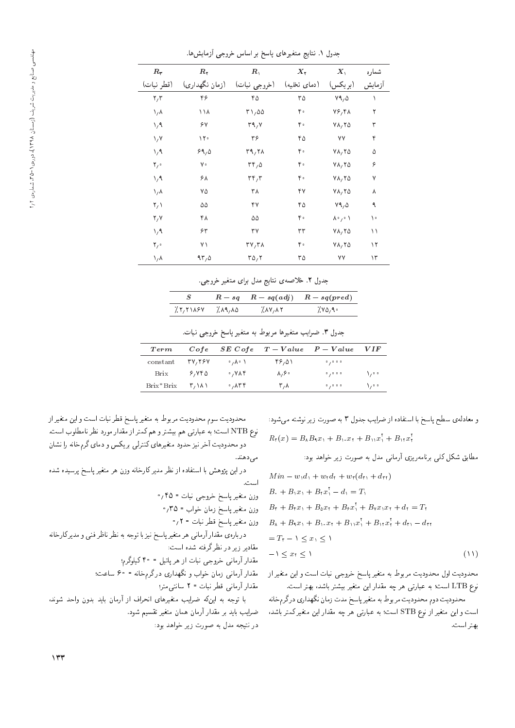| $R_{\Upsilon}$          | $\bm{R}_{\bm{\gamma}}$ | $\boldsymbol{R}_1$                    | $\bm{X}$ r   | $\boldsymbol{X}_\lambda$ | شماره  |
|-------------------------|------------------------|---------------------------------------|--------------|--------------------------|--------|
| (قطر نبات)              | (زمان نگهداری)         | (خروجي نبات)                          | (دمای تخلیه) | (بريكس)                  | آزمايش |
| $\mathbf{r},\mathbf{r}$ | ۴۶                     | ۴۵                                    | ۳۵           | Y9,0                     | ١      |
| ۸٫۸                     | ۱۱۸                    | T1,00                                 | ۴۰           | Y5, YA                   | ٢      |
| $\lambda / \lambda$     | ۶۷                     | $\mathbf{r}_1, \mathbf{v}$            | ۴۰           | $V \wedge_V V \wedge$    | ٣      |
| $\sqrt{V}$              | $\gamma$               | ٣۶                                    | ۴۵           | ٧V                       | ۴      |
| $\lambda / \lambda$     | 89,0                   | $\Gamma$ 9,7 $\Lambda$                | ۴۰           | $V \wedge_V V \wedge$    | ۵      |
| $\mathbf{Y}_{I}$        | γ۰                     | $rr, \Delta$                          | ۴۰           | $V \wedge_V V \wedge$    | ۶      |
| $\lambda / \lambda$     | ۶۸                     | $\mathsf{r}\mathsf{r}_\ell\mathsf{r}$ | ۴۰           | $Y\Lambda, Y\Delta$      | ٧      |
| $\lambda/\lambda$       | ٧۵                     | ۳۸                                    | ۴۷           | $V \wedge_V V \wedge$    | ٨      |
| $\mathsf{Y}_\ell$       | ۵۵                     | ۴٧                                    | ۴۵           | Y9,0                     | ٩      |
| Y, Y                    | ۴۸                     | ۵۵                                    | ۴۰           | $\lambda$ ° / $\circ$ \  | ١٠     |
| $\lambda / \lambda$     | ۶۳                     | ٣٧                                    | ٣٣           | $V \wedge_V V \wedge$    | ۱١     |
| $\mathbf{Y}_{\ell}$ .   | ۷١                     | $\mathbf{r} \mathbf{v} \mathbf{r}$    | ۴۰           | $V \wedge_V V \wedge$    | ۱۲     |
| ۸٫۸                     | ۹۳٫۵                   | TQ, T                                 | ۳۵           | ٧٧                       | ۱۳     |

جدول ۱. نتایج متغیرهای پاسخ بر اساس خروجی آزمایش ها.

جدول ۲. خلاصه ی نتایج مدل برای متغیر خروجی.

| S.                                  |      | $R - sq$ $R - sq$ $adj)$ $R - sq$ $pred)$ |
|-------------------------------------|------|-------------------------------------------|
| 7. ۲, ۲۱۸۶ Y 7. ۱۸۹ <sub>/</sub> ۸۵ | 7.11 | ۷۵٬۹۰٪                                    |

جدول ۳. ضرایب متغیرها مربوط به متغیر پاسخ خروجی نبات.

| $\boldsymbol{Term}$ | Cofe                                                                                                                                                                                                                                                                                                                                                                                                                                                       |                                    | $SE\;Cofe$ $T - Value$ $P - Value$ |         | VIF       |
|---------------------|------------------------------------------------------------------------------------------------------------------------------------------------------------------------------------------------------------------------------------------------------------------------------------------------------------------------------------------------------------------------------------------------------------------------------------------------------------|------------------------------------|------------------------------------|---------|-----------|
| constant            | 37.75Y                                                                                                                                                                                                                                                                                                                                                                                                                                                     | ⊸ ∕ V∘ /                           | ۴۶٬۵۱                              | 0/0.0.0 |           |
| Brix                | ۶٬۷۴۵                                                                                                                                                                                                                                                                                                                                                                                                                                                      | $\cdot$ , YAF                      | $\lambda, \epsilon$                | 0/0.0.0 | $\lambda$ |
| Brix*Brix           | $\mathsf{r}\wedge\mathsf{r}\wedge\mathsf{r}\wedge\mathsf{r}\wedge\mathsf{r}\wedge\mathsf{r}\wedge\mathsf{r}\wedge\mathsf{r}\wedge\mathsf{r}\wedge\mathsf{r}\wedge\mathsf{r}\wedge\mathsf{r}\wedge\mathsf{r}\wedge\mathsf{r}\wedge\mathsf{r}\wedge\mathsf{r}\wedge\mathsf{r}\wedge\mathsf{r}\wedge\mathsf{r}\wedge\mathsf{r}\wedge\mathsf{r}\wedge\mathsf{r}\wedge\mathsf{r}\wedge\mathsf{r}\wedge\mathsf{r}\wedge\mathsf{r}\wedge\mathsf{r}\wedge\mathsf{$ | $\cdot$ , $\wedge$ $\vee$ $\wedge$ | ۳,۸                                | 0/0.0.0 | $\lambda$ |

محدوديت سوم محدوديت مربوط به متغير پاسخ قطر نبات است و اين متغيراز نوع NTB است؛ به عبارتی هم بیشتر و هم کمتر از مقدار مورد نظر نامطلوب است. دو محدودیت آخر نیز حدود متغیرهای کنترلمی بریکس و دمای گرمخانه را نشان

مى دھند.

در این پژوهش با استفاده از نظر مدیرکارخانه وزن هر متغیر پاسخ پرسیده شده است.

وزن متغير پاسخ زمان خواب = ٣٥؍ •

وزن متغیر پاسخ قطر نبات = ٢٫٢

دربارهي مقدار آرماني هر متغير ياسخ نيز با توجه به نظر ناظر فنبي و مديركارخانه مقادیر زیر در نظر گرفته شده است:

مقدار آرمانی خروجی نبات از هر پاتیل = ۴۰ کیلوگرم؛

مقدار آرمانی زمان خواب و نگهداری درگرمخانه = ۶۰ ساعت؛

مقدار آرمانی قطر نبات = ٢ سانتی متر؛

با توجه به اینکه ضرایب متغیرهای انحراف از آرمان باید بدون واحد شوند، ضرایب باید بر مقدار آرمان همان متغیر تقسیم شود. در نتیجه مدل به صورت زیر خواهد بود: و معادله ی سطح پاسخ با استفاده از ضرایب جدول ۳ به صورت زیر نوشته مه شود:  $R_{\tau}(x) = B_{\lambda}B_{\lambda}x_{\lambda} + B_{\lambda}x_{\tau} + B_{\lambda}x_{\lambda}^{\dagger} + B_{\lambda}x_{\tau}^{\dagger}$ 

مطابق شکل کلی برنامهریزی آرمانی مدل به صورت زیر خواهد بود:

$$
M in - w_1 d_1 + w_1 d_1 + w_1 (d_1 + d_1)
$$
  
\n
$$
B_1 + B_1 x_1 + B_1 x_1' - d_1 = T_1
$$
  
\n
$$
B_1 + B_1 x_1 + B_2 x_1 + B_2 x_1' + B_1 x_1 x_1 + d_1 = T_1
$$
  
\n
$$
B_2 + B_1 x_1 + B_1 x_1 + B_1 x_1' + B_1 x_1' + d_1 - d_1
$$
  
\n
$$
= T_1 - 1 \le x_1 \le 1
$$
  
\n
$$
= 1 \le x_1 \le 1
$$
  
\n(11)

محدودیت اول محدودیت مربوط به متغیر پاسخ خروجی نبات است و این متغیر از نوع LTB است؛ به عبارتی هر چه مقدار این متغیر بیشتر باشد، بهتر است.

محدوديت دوم محدوديت مربوط به متغير پاسخ مدت زمان نگهداري درگرمخانه است و این متغیر از نوع STB است؛ به عبارتی هر چه مقدار این متغیر کمتر باشد، بهتر است.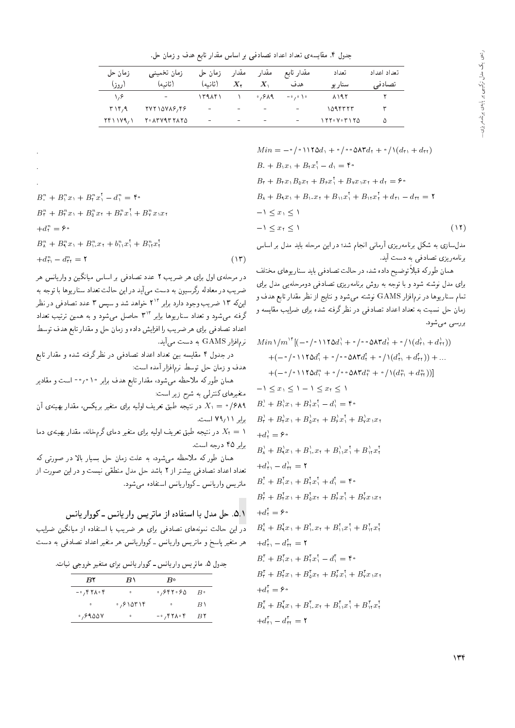جدول ۴. مقایسهی تعداد اعداد تصادفی بر اساس مقدار تابع هدف و زمان حل.

| زمان حل<br>(روز)    | زمان تخميني<br>(ثانيه) | زمان حل<br>(ثانىه)           | مقدار<br>$X_{Y}$ | مقدار<br>$X_{\lambda}$       | مقدار تابع<br>هدف            | تعداد<br>سنار ہو     | اتعداد اعداد<br>تصادفی |
|---------------------|------------------------|------------------------------|------------------|------------------------------|------------------------------|----------------------|------------------------|
| ۱٬۶                 | $\sim$                 | 1411                         |                  | $\circ$ , $\circ$ $\wedge$ 9 | $-\circ$ , $\circ$ \ $\circ$ | ۸۱۹۲                 |                        |
| $T \setminus Y$ , 9 | 77718718,99            | ÷,                           | -                | $\overline{\phantom{a}}$     | $\overline{\phantom{0}}$     | 1095557              |                        |
| 741179.1            | 7 · AT VAT TA TO       | $\qquad \qquad \blacksquare$ | -                | $\overline{\phantom{0}}$     | $\blacksquare$               | $177. V \cdot T 170$ | ۵                      |

$$
Min = -\circ / \circ \setminus \setminus \setminus \circ \circ \Delta \mathsf{r} d_{\mathsf{t}} + \circ / \setminus (d_{\mathsf{t}} + d_{\mathsf{t}})
$$
\n
$$
B_{\circ} + B_{\mathsf{t}} x_{\mathsf{t}} + B_{\mathsf{t}} x_{\mathsf{t}}^{\mathsf{T}} - d_{\mathsf{t}} = \mathsf{f} \circ
$$
\n
$$
B_{\mathsf{r}} + B_{\mathsf{t}} x_{\mathsf{t}} B_{\mathsf{0}} x_{\mathsf{t}} + B_{\mathsf{y}} x_{\mathsf{t}} + B_{\mathsf{y}} x_{\mathsf{t}} x_{\mathsf{t}} + d_{\mathsf{t}} = \mathsf{f} \circ
$$
\n
$$
B_{\mathsf{A}} + B_{\mathsf{t}} x_{\mathsf{t}} B_{\mathsf{0}} x_{\mathsf{t}} + B_{\mathsf{t}} x_{\mathsf{t}}^{\mathsf{T}} + B_{\mathsf{t}} x_{\mathsf{t}}^{\mathsf{T}} + d_{\mathsf{t}} - d_{\mathsf{t}} = \mathsf{f}
$$
\n
$$
B_{\mathsf{A}} + B_{\mathsf{t}} x_{\mathsf{t}} + B_{\mathsf{t}} x_{\mathsf{t}} + B_{\mathsf{t}} x_{\mathsf{t}}^{\mathsf{T}} + d_{\mathsf{t}} - d_{\mathsf{t}} = \mathsf{f}
$$
\n
$$
-1 \le x_{\mathsf{t}} \le 1 \tag{17}
$$

مدل سازی به شکل برنامهریزی آرمانی انجام شد؛ در این مرحله باید مدل بر اساس برنامەرىزى تصادفى بە دست آيد.

همان طورکه قبلاً توضیح داده شد، در حالت تصادفی باید سناریوهای مختلف برای مدل نوشته شود و با توجه به روش برنامهریزی تصادفی دومرحلهیی مدل برای تمام سناریوها در نرم|فزار GAMS نوشته میشود و نتایج از نظر مقدار تابع هدف و زمان حل نسبت به تعداد اعداد تصادفی در نظر گرفته شده برای ضرایب مقایسه و بررسی می شود.

$$
Min\left(m^{\prime\prime}\left[\left(-\circ\left(-\circ\right)\right)\right]^{2} + \circ\left(-\circ\left(-\circ\right)\right)\right]^{2} + \circ\left(-\circ\left(-\circ\right)\right)\right)
$$

$$
+(-\circ\left(-\circ\right)\right)\left(-\circ\left(-\circ\right)\right)\left(-\circ\left(-\circ\right)\right)\left(-\circ\left(-\circ\right)\right)\left(-\circ\left(-\circ\right)\right)\left(-\circ\left(-\circ\right)\right)\left(-\circ\left(-\circ\right)\right)\left(-\circ\left(-\circ\right)\right)\left(-\circ\left(-\circ\right)\right)\left(-\circ\left(-\circ\right)\right)\left(-\circ\left(-\circ\right)\right)\left(-\circ\left(-\circ\right)\right)\left(-\circ\left(-\circ\right)\right)\left(-\circ\left(-\circ\right)\right)\left(-\circ\left(-\circ\right)\right)\left(-\circ\left(-\circ\right)\right)\left(-\circ\left(-\circ\right)\right)\left(-\circ\left(-\circ\right)\right)\left(-\circ\left(-\circ\right)\right)\left(-\circ\left(-\circ\right)\right)\left(-\circ\left(-\circ\right)\right)\left(-\circ\left(-\circ\right)\right)\right)\right)\right)\right)
$$

$$
-1 \leq x_1 \leq 1 - 1 \leq x_2 \leq 1
$$

$$
B_1^1 + B_1^1x_1 + B_2^1x_1^1 + B_3^1x_1^1 + B_4^1x_1^1 + B_4^1x_1^1 + B_4^1x_1^1 + B_4^1x_1 + B_4^1x_1 + B_4^1x_1 + B_4^1x_1 + B_4^1x_1 + B_4^1x_1 + B_4^1x_1 + B_4^1x_1 + B_4^1x_1 + B_4^1x_1 + B_4^1x_1 + B_4^1x_1 + B_4^1x_1 + B_4^1x_1 + B_4^1x_1 + B_4^1x_1 + B_4^1x_1 + B_4^1x_1 + B_4^1x_1 + B_4^1x_1 + B_4^1x_1 + B_4^1x_1 + B_4^1x_1 + B_4^1x_1 + B_4^1x_1 + B_4^1x_1 + B_4^1x_1 + B_4^1x_
$$

| $B^n + B^n x + B^n r^n - d^n = \mathfrak{f} \cdot$                                                                                                            |      |
|---------------------------------------------------------------------------------------------------------------------------------------------------------------|------|
| $B_{\tau}^{n}+B_{\tau}^{n}x_{1}+B_{\Delta}^{n}x_{1}+B_{\epsilon}^{n}x_{1}^{\dagger}+B_{\nu}^{n}x_{1}x_{1}$                                                    |      |
| $+d_{r}^{n} = \varepsilon \cdot$                                                                                                                              |      |
| $B_{\lambda}^{n} + B_{\lambda}^{n} x_{\lambda} + B_{\lambda}^{n} x_{\lambda} + b_{\lambda}^{n} x_{\lambda}^{\dagger} + B_{\lambda}^{n} x_{\lambda}^{\dagger}$ |      |
| $d_{\tau}^{n} - d_{\tau}^{n} = \Upsilon$                                                                                                                      | (35) |

در مرحلهی اول برای هر ضریب ۲ عدد تصادفی بر اساس میانگین و واریانس هر ضریب در معادله رگرسیون به دست می آید در این حالت تعداد سناریوها با توجه به اینکه ۱۳ ضریب وجود دارد برابر ۲<sup>۱۳</sup> خواهد شد و سپس ۳ عدد تصادفی در نظر گرفته میشود و تعداد سناریوها برابر ۳<sup>۱۳</sup> حاصل می شود و به همین ترتیب تعداد اعداد تصادفي براي هر ضريب را افزايش داده و زمان حل و مقدار تابع هدف توسط نرم|فزار GAMS به دست می[ید.

در جدول ۴ مقایسه بین تعداد اعداد تصادفی در نظر گرفته شده و مقدار تابع هدف و زمان حل توسط نرمافزار آمده است:

همان طورکه ملاحظه میشود، مقدار تابع هدف برابر ۲۰٫۰۱۰ است و مقادیر متغیرهای کنترلمی به شرح زیر است:

در نتیجه طبق تعریف اولیه برای متغیر بریکس، مقدار بهینهی آن  $X_1 = \times/6$ ۸۹ برابر ۷۹٫۱۱ است.

در نتیجه طبق تعریف اولیه برای متغیر دمای گرمخانه، مقدار بهینهی دما ( در نتیجه طبق تعریف برابر ۴۵ درجه است.

همان طورکه ملاحظه می شود، به علت زمان حل بسیار بالا در صورتی که تعداد اعداد تصادفی بیشتر از ۲ باشد حل مدل منطقی نیست و در این صورت از ماتریس واریانس ـ کوواریانس استفاده میشود.

۵.۱٪. حل مدل با استفاده از ماتریس واریانس ـ کوواریانس

در این حالت نمونههای تصادفی برای هر ضریب با استفاده از میانگین ضرایب هر متغیر پاسخ و ماتریس واریانس ـ کوواریانس هر متغیر اعداد تصادفی به دست

جدول ۵. ماتریس واریانس ـ کوواریانس برای متغیر خروجی نبات.

| BY                | $B \setminus$                                   | $B^{\circ}$       |               |
|-------------------|-------------------------------------------------|-------------------|---------------|
| $- \circ$ , ۴۲۸۰۴ | $\circ$                                         | ۶۴۲۰۶۵ ق          | $B \cdot$     |
| $\circ$           | $\cdot$ , $\circ$ \ $\circ$ \ $\circ$ \ $\circ$ | $\bullet$         | $B \setminus$ |
| ۰٬۶۹۵۵۷           | $\circ$                                         | $- \circ$ , ۴۲۸۰۴ | BY            |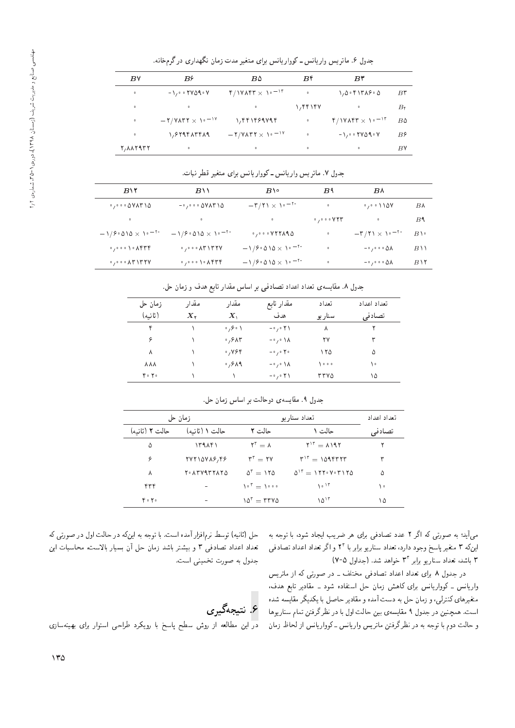| جدول ۶. ماتریس واریانس ـ کوواریانس برای متغیر مدت زمان نگهداری درگرمخانه. |  |
|---------------------------------------------------------------------------|--|
|---------------------------------------------------------------------------|--|

| B٧        | $B^{\varphi}$                                                   | $B\Delta$                                  | B۴                            | $B^{\vee}$                                                  |                    |
|-----------|-----------------------------------------------------------------|--------------------------------------------|-------------------------------|-------------------------------------------------------------|--------------------|
| $\bullet$ | $-\lambda$ <sub>/</sub> $\circ$ $\uparrow$ Y $\wedge$ $\circ$ Y | $f/NV\Lambda f\Gamma \times V_0 = V\Gamma$ | $\qquad \qquad \bullet$       | 1,0.61719.0                                                 | $B^{\star}$        |
| $\circ$   | $\bullet$                                                       | $\bullet$                                  | $\lambda$ , $\gamma$ $\gamma$ | $\circ$                                                     | $B_{\mathfrak{k}}$ |
| $\circ$   | $-7/7$ $\times$ $\sim$ $-14$                                    | 1, 441469444                               | $\bullet$                     | $f/V\Lambda f\Gamma \times V$                               | B۵                 |
| $\circ$   | 1,879417419                                                     | $-7/7$ $\times 10^{-19}$                   | $\circ$                       | $-1$ , $\circ$ $\circ$ $\uparrow$ $\vee$ $\circ$ $\uparrow$ | B۶                 |
| Y, AAYATY | $\circ$                                                         | $\bullet$                                  | $\circ$                       | $\bullet$                                                   | B٧                 |

جدول ۷. ماتریس واریانس ـ کوواریانس برای متغیر قطر نبات.

| $B\vee 7$                                                                               | $B \setminus$                                                                       | $B \setminus \circ$                                                                  | B <sup>4</sup>                                         | B٨                                                       |                     |
|-----------------------------------------------------------------------------------------|-------------------------------------------------------------------------------------|--------------------------------------------------------------------------------------|--------------------------------------------------------|----------------------------------------------------------|---------------------|
| $\cdot$ , $\cdot$ $\cdot$ $\cdot$ $\Delta$ $\vee$ $\wedge$ $\uparrow$ $\wedge$ $\Delta$ | $-\cdot$ , $\cdot \cdot \cdot$ $\Delta V \wedge V \wedge \Delta$                    | $-\mathsf{r}/\mathsf{r}\mathsf{1}\times\mathsf{1}\mathsf{e}^{-\mathsf{r}\mathsf{e}}$ | $\circ$                                                | $\cdot$ , $\cdot$ , $\cdot$ , $\cdot$                    | B۸                  |
| $\bullet$                                                                               | $0<\infty$                                                                          | $\sim 0.001$ and                                                                     | $\circ$ , $\circ$ $\circ$ $\circ$ $\vee$ $\vee$ $\vee$ | $\bullet$                                                | B <sup>4</sup>      |
| $-1/8.010 \times 10^{-18}$                                                              | $-1/8.010 \times 10^{-10}$                                                          |                                                                                      | $\bullet$                                              | $-\mathbf{r}/\mathbf{r} \times \mathbf{v}^{-\mathbf{r}}$ | $B \setminus \cdot$ |
| $\cdot$ , $\cdot$ $\cdot$ ) $\cdot$ $\wedge$ $\uparrow$ $\uparrow$ $\uparrow$           | $\cdot$ , $\cdot \cdot$ $\cdot$ $\wedge$ $\wedge$ $\wedge$ $\wedge$ $\wedge$ $\vee$ | $-\frac{1}{2}$ $\sqrt{200} \times 10^{-10}$                                          | $\bullet$                                              | $-\cdot$ , $\cdot \cdot \cdot$ 0 $\Lambda$               | $B \setminus$       |
| $\cdot$ , $\cdot$ $\cdot$ $\wedge$ $\uparrow$ $\uparrow$ $\uparrow$ $\vee$              | $\cdot$ , $\cdot$ $\cdot$ ) $\cdot$ $\wedge$ $\uparrow$ $\uparrow$ $\uparrow$       | $-1/8.010 \times 10^{-18}$                                                           | $\circ$                                                | $-\cdot$ , $\cdot \cdot \cdot \cdot \Delta \Lambda$      | $B\setminus Y$      |
|                                                                                         |                                                                                     |                                                                                      |                                                        |                                                          |                     |

جدول ۸. مقایسهی تعداد اعداد تصادفی بر اساس مقدار تابع هدف و زمان حل.

| زمان حل           | مقدار            | مقدار                         | مقدار تابع                               | تعداد  | تعداد اعداد |
|-------------------|------------------|-------------------------------|------------------------------------------|--------|-------------|
| (ثانيه)           | $X_{\mathbf{Y}}$ | $X_{\lambda}$                 | هدف                                      | سناريو | تصادفي      |
| ۴                 |                  | $\circ$ , $\circ$ $\setminus$ | $-\circ$ , $\circ$ $\uparrow$ $\uparrow$ | ٨      |             |
| ۶                 |                  | ۶۸۳ ق                         | $-\circ$ / $\circ$ $\Lambda$             | ۲۷     | ٣           |
| ٨                 |                  | ٬٫۷۶۴                         | $-\circ$ / $\circ$ Y $\circ$             | ۱۲۵    | ۵           |
| <b>AAA</b>        |                  | $0,9$ $\wedge$ 9              | $-\circ$ / $\circ$ $\Lambda$             | ه ه ۱  | ١٠          |
| $Y \circ Y \circ$ |                  |                               | $-\circ$ , $\circ$ $\uparrow$ $\uparrow$ | ۳۳۷۵   | ۱۵          |

جدول ۹. مقايسهي دوحالت بر اساس زمان حل.

| زمان حل           |                | اتعداد سنار ہو                                       | تعداد اعداد                                                                                                                        |        |
|-------------------|----------------|------------------------------------------------------|------------------------------------------------------------------------------------------------------------------------------------|--------|
| حالت ۲ (ثانیه)    | حالت ۱ (ثانیه) | حالت ۲                                               | حالت ۱                                                                                                                             | تصادفی |
| ۵                 | 15915          | $Y^r = \Lambda$                                      | $Y^{\dagger} = \Lambda$ 197                                                                                                        | ۲      |
| ۶                 | 77710718,99    | $r^r = r v$                                          | $T^{\prime\prime} = 101$                                                                                                           | ٣      |
| Λ                 | Y. ATVITTATO   | $\Delta^{\mathsf{r}} = \mathsf{N} \mathsf{r} \Delta$ | $\Delta$ <sup><math>\mathsf{r} = \mathsf{r} \mathsf{r} \cdot \mathsf{v} \cdot \mathsf{r} \mathsf{r} \mathsf{r} \Delta</math></sup> | ۵      |
| ۴۳۴               |                | $\Delta \circ \mathsf{r} = \Delta \circ \circ \circ$ | $\lambda \circ \lambda^r$                                                                                                          | ۱۰     |
| $Y \circ Y \circ$ |                | $\Delta^{\tau} = \tau \tau \nu \Delta$               | $\Delta$ <sup>15</sup>                                                                                                             | ۱۵     |

x@ xHwD =@ 'OwW O=H}= ?} Q[ Qy |=Q@ |iO=YD OOa 2 Qo = xm |DQwY x@ &O};|t اینکه ۳ متغیر پاسخ وجود دارد. تعداد سناریو برابر با ۲۲ و اگر تعداد اعداد تصادفی<br>۳ باید تعداد ۳ باشد، تعداد سناریو برابر ۳<sup>۳</sup> خواهد شد. (جداول ۷-۷)<br>مرد اسلام استفاده استفاده استفاده برای میباشد.

در جدول ۸ برای تعداد اعداد نصادفی محتلف ـ در صورتی نه از مانریس<br>مسلم استفاده از ایران استفاده استفاده استفاده استفاده استفاده استفاده استفاده استفاده واریاس ـ دوواریاس برای ناهس زمان حل استفاده سود ـ مقادیر نابع هدف،<br>مسلم کار کار این ساح ساح ساح ساح این کست تا متغیرهای کنترلی، و زمان حل به دست آمده و مقادیر حاصل با یکدیگر مقایسه شده<br>است. همچنین در جدول ۹ مقایسهی بین حالت اول با در نظر گرفتن تمام سناریوها است. همچنین در جدول ۱ مقایسهی بین حالت اول با در نظر درقتن نمام ستاریوها<br>المسالمة و حالب دوم با نوجه به در نظر درقین مانریس واریانس ـ دوواریانس از لحاظ زمان<br>.

حل (نانيه) نوسط نرم افزار آمده است. با نوجه به اين نه در حالت اول در صورتى نه<br>- با با با بعد استمد به سميم استفادة با بعد استمد به استفادت بعداد اعداد نصادقی ۱ و بیستر باسد زمان حل آن بسیار بالاست، محاسبات این<br>مطلبات جدول به صورت تخمینی است.

# ع. نتيجەگيرى

در این مطالعه از روش سطح پاسخ با رویکرد طراحی استوار برای بهینهسازی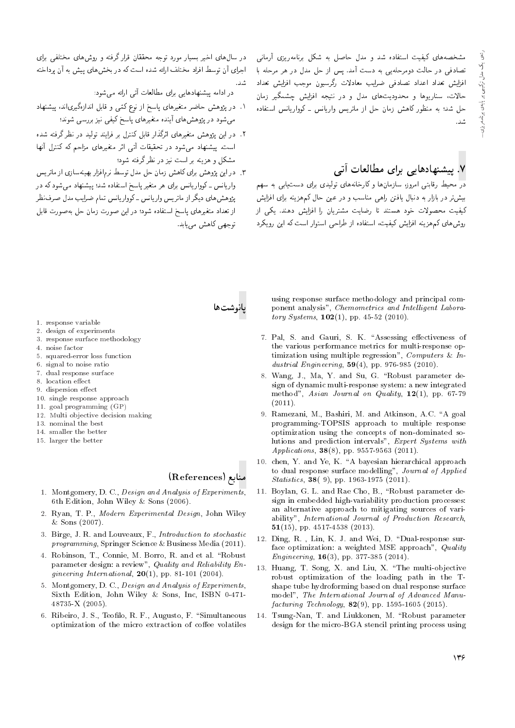مشخصههای کیفیت استفاده شد و مدل حاصل به شکل برنامهریزی آرمانی<br>تصادفی در حالت دومرحلهیی به دست آمد. پس از حل مدل در هر مرحله با افزایش تعداد اعداد تصادفی ضرایب معادلات رگرسیون موجب افزایش تعداد حالات، سناریوها و محدودیتهای مدل و در نتیجه افزایش حشمگیر زمان حالات، سماریوها و محدودیت های مدل و در سیجه افزایس چسمگیر زمان<br>- این مساریوها که بر ایران ایران ایران ایران کردان ایران حل سد: به منطور داهس زمان حل از مانریس واریاس – نوواریاسن استفاده<br>. . سىد.<br>-

## .<br>۷. پیشنهادهای<sub>ی</sub> برای مطالعات آتبی

در محیط رقابتی امروز، سازمان۵ا و کارخانههای تولیدی برای دست،یابی به سهم<br>بیش تر در بازار به دنبال یافتن راهبی مناسب و در عین حال کمهزینه برای افزایش بیس ر در بازار به دسال یافتن راهی مناسب و در عین حال نم هزینه برای افزایس<br>بر مساجد R= |m} "OvyO V}=Ri= =Q u=} QDWt C}=[Q =D OvDUy OwN CqwYLt C}i}m روش های کم هزینه افزایش کیفیت، استفاده از طراحی استوار است که این رویکرد

در سال های آخیر بسیار مورد نوجه محققان قرار درقیه و روس های محتفی برای<br>اساس آیت مایانات سیار است این است اجرای آن نوسط افزاد محتلف آزائه سده است له در بحس های پیس به آن پرداخته<br>. . سد.<br>-

در ادامه پیشنهادهایی برای مطالعات آتی ارائه می شود:

- ۰۱ در پژوهس حاصر معیرهای پاسخ از نوع تمی و قابل اندازهیریاند، پیستهاد<br>شمیری شده عام آن ست عام است که تباید است. میشود در پژوهش،ای آینده متغیرهای پاسخ کیفی نیز بررسی شوند؛<br>۲. در این پژوهش متغیرهای اثرگذار قابل کنترل بر فرایند تولید در نظر گرفته شده
- ۰۱ در این پژوهس معیرهای ابرندار قابل نسرل بر فرایند تولید در نظر نرفته سده<br>ا است. پیستهاد می سود در تحقیقات آنی اثر متعیرهای مراجم به نسرل آنها<br>شمکات میستهاد می سودند و از این مورد مید مشکل و هزینه بر است نیز در نظرگرفته شود؛<br>۳. در امن بژوهش برای کاهش زمان حل مدل توسط نرمافزار بهینهسازی از ماتریس
- واریانس ـ کوواریانس برای هر متغیر یاسخ استفاده شد؛ پیشنهاد م<sub>ی </sub>شود که در پژوهش های دیگر از ماتریس وارپانس ـ کووارپانس تمام ضرایب مدل صرفنظر پڙوهس های ديگر آز ما نريس واريانس – نوواريانس نمام صرايب مدل صرف نظر<br>احمداد مقدم استخدام استخدام محمد استخدام از بعداد منعرهای پاسخ استفاده سود: در این صورت زمان حل بهصورت قابل<br>-توجهي كاهش مي يابد.

پانوشتها

- 1. response variable
- 2. design of experiments
- 3. response surface methodology
- 4. noise factor
- 5. squared-error loss function
- 6. signal to noise ratio
- 7. dual response surface
- 8. location effect
- 9. dispersion effect
- 10. single response approach
- 11. goal programming (GP)
- 12. Multi objective decision making
- 13. nominal the best
- 14. smaller the better
- 15. larger the better

#### منابع (References)

- 1. Montgomery, D. C., Design and Analysis of Experiments, 6th Edition, John Wiley & Sons (2006).
- 2. Ryan, T. P., Modern Experimental Design, John Wiley & Sons (2007).
- 3. Birge, J. R. and Louveaux, F., Introduction to stochastic programming, Springer Science & Business Media (2011).
- 4. Robinson, T., Connie, M. Borro, R. and et al. "Robust parameter design: a review", Quality and Reliability Engineering International,  $20(1)$ , pp. 81-101 (2004).
- 5. Montgomery, D. C., Design and Analysis of Experiments, Sixth Edition, John Wiley & Sons, Inc, ISBN 0-471- 48735-X (2005).
- 6. Ribeiro, J. S., Teofilo, R. F., Augusto, F. "Simultaneous optimization of the micro extraction of coffee volatiles

using response surface methodology and principal component analysis", Chemometrics and Intelligent Labora*tory Systems*,  $102(1)$ , pp. 45-52 (2010).

- 7. Pal, S. and Gauri, S. K. "Assessing effectiveness of the various performance metrics for multi-response optimization using multiple regression", Computers & Industrial Engineering, 59(4), pp. 976-985 (2010).
- 8. Wang, J., Ma, Y. and Su, G. "Robust parameter design of dynamic multi-response system: a new integrated method", Asian Journal on Quality,  $12(1)$ , pp. 67-79 (2011).
- 9. Ramezani, M., Bashiri, M. and Atkinson, A.C. \A goal programming-TOPSIS approach to multiple response optimization using the concepts of non-dominated solutions and prediction intervals", Expert Systems with Applications, **38**(8), pp. 9557-9563 (2011).
- 10. chen, Y. and Ye, K. "A bayesian hierarchical approach to dual response surface modelling", Journal of Applied Statistics, 38( 9), pp. 1963-1975 (2011).
- 11. Boylan, G. L. and Rae Cho, B., "Robust parameter design in embedded high-variability production processes: an alternative approach to mitigating sources of variability", International Journal of Production Research, 51(15), pp. 4517-4538 (2013).
- 12. Ding, R., Lin, K. J. and Wei, D. "Dual-response surface optimization: a weighted MSE approach", Quality Engineering,  $16(3)$ , pp. 377-385 (2014).
- 13. Huang, T. Song, X. and Liu, X. \The multi-objective robust optimization of the loading path in the Tshape tube hydroforming based on dual response surface model", The International Journal of Advanced Manu*facturing Technology*,  $82(9)$ , pp. 1595-1605 (2015).
- 14. Tsung-Nan, T. and Liukkonen, M. "Robust parameter design for the micro-BGA stencil printing process using